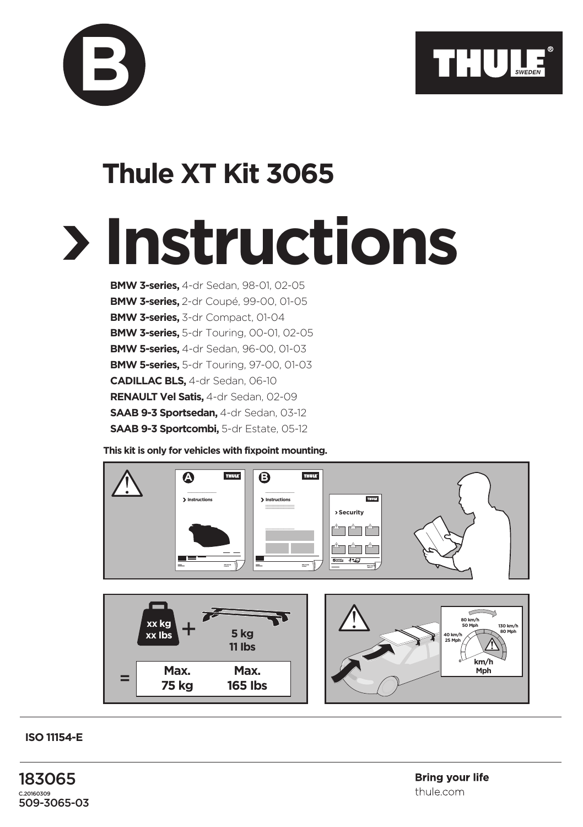

## **Thule XT Kit 3065**

**B**

## **Instructions**

**BMW 3-series,** 4-dr Sedan, 98-01, 02-05 **BMW 3-series,** 2-dr Coupé, 99-00, 01-05 **BMW 3-series,** 3-dr Compact, 01-04 **BMW 3-series,** 5-dr Touring, 00-01, 02-05 **BMW 5-series,** 4-dr Sedan, 96-00, 01-03 **BMW 5-series,** 5-dr Touring, 97-00, 01-03 **CADILLAC BLS,** 4-dr Sedan, 06-10 **RENAULT Vel Satis,** 4-dr Sedan, 02-09 **SAAB 9-3 Sportsedan,** 4-dr Sedan, 03-12 **SAAB 9-3 Sportcombi,** 5-dr Estate, 05-12

**This kit is only for vehicles with fixpoint mounting.**



**ISO 11154-E**

183065 C.20160309 509-3065-03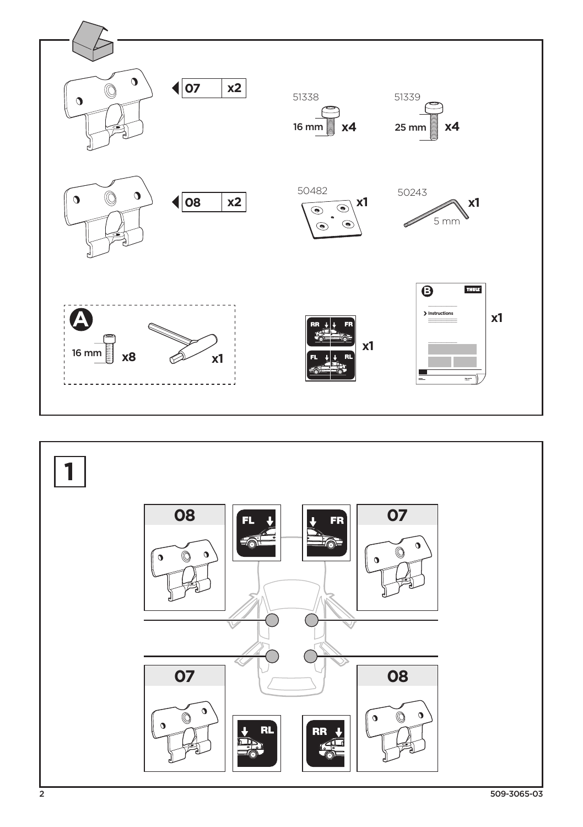

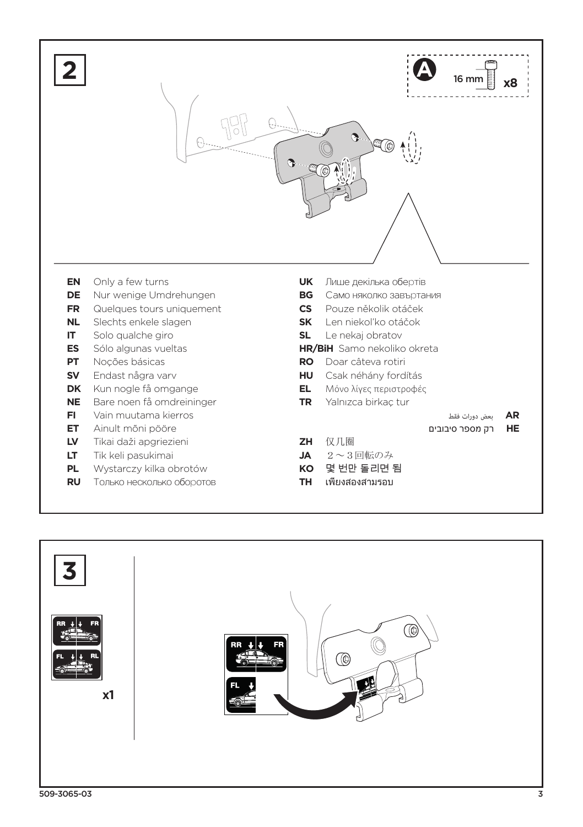

- **PL** Wystarczy kilka obrotów
- **RU** Только несколько оборотов
- **TH** เพียงสองสามรอบ